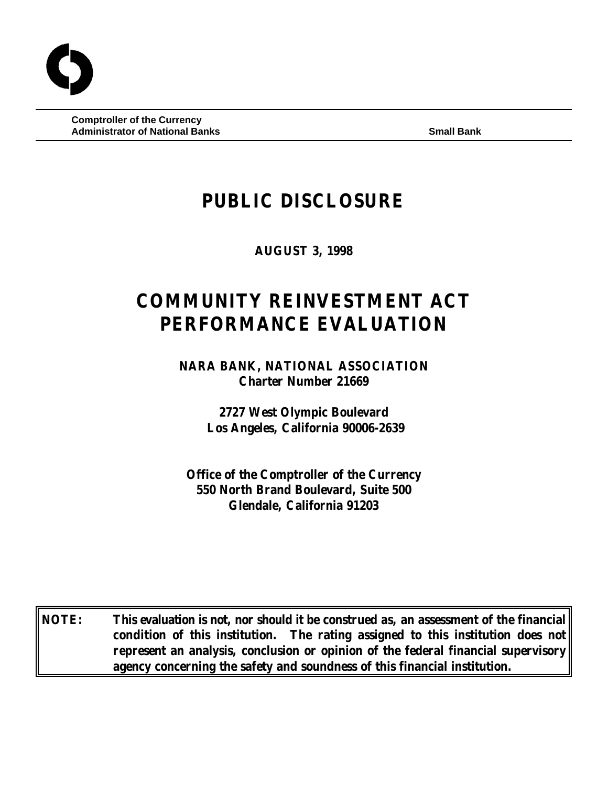**Comptroller of the Currency Administrator of National Banks Small Bank**

## **PUBLIC DISCLOSURE**

**AUGUST 3, 1998**

# **COMMUNITY REINVESTMENT ACT PERFORMANCE EVALUATION**

**NARA BANK, NATIONAL ASSOCIATION Charter Number 21669**

> **2727 West Olympic Boulevard Los Angeles, California 90006-2639**

**Office of the Comptroller of the Currency 550 North Brand Boulevard, Suite 500 Glendale, California 91203**

**NOTE: This evaluation is not, nor should it be construed as, an assessment of the financial condition of this institution. The rating assigned to this institution does not represent an analysis, conclusion or opinion of the federal financial supervisory agency concerning the safety and soundness of this financial institution.**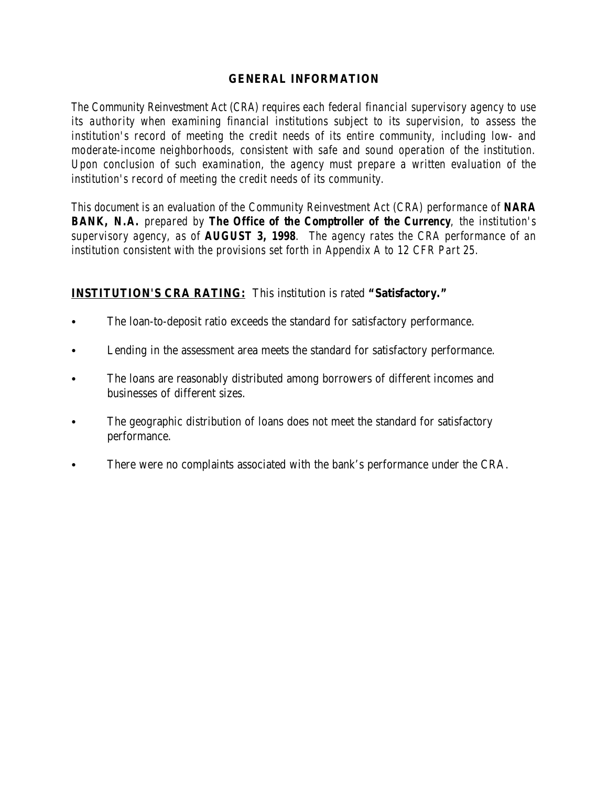## **GENERAL INFORMATION**

*The Community Reinvestment Act (CRA) requires each federal financial supervisory agency to use its authority when examining financial institutions subject to its supervision, to assess the institution's record of meeting the credit needs of its entire community, including low- and moderate-income neighborhoods, consistent with safe and sound operation of the institution. Upon conclusion of such examination, the agency must prepare a written evaluation of the institution's record of meeting the credit needs of its community.* 

*This document is an evaluation of the Community Reinvestment Act (CRA) performance of NARA BANK, N.A. prepared by The Office of the Comptroller of the Currency, the institution's supervisory agency, as of AUGUST 3, 1998. The agency rates the CRA performance of an institution consistent with the provisions set forth in Appendix A to 12 CFR Part 25.*

## **INSTITUTION'S CRA RATING:** This institution is rated **"Satisfactory."**

- The loan-to-deposit ratio exceeds the standard for satisfactory performance.
- Lending in the assessment area meets the standard for satisfactory performance.
- The loans are reasonably distributed among borrowers of different incomes and businesses of different sizes.
- The geographic distribution of loans does not meet the standard for satisfactory performance.
- There were no complaints associated with the bank's performance under the CRA.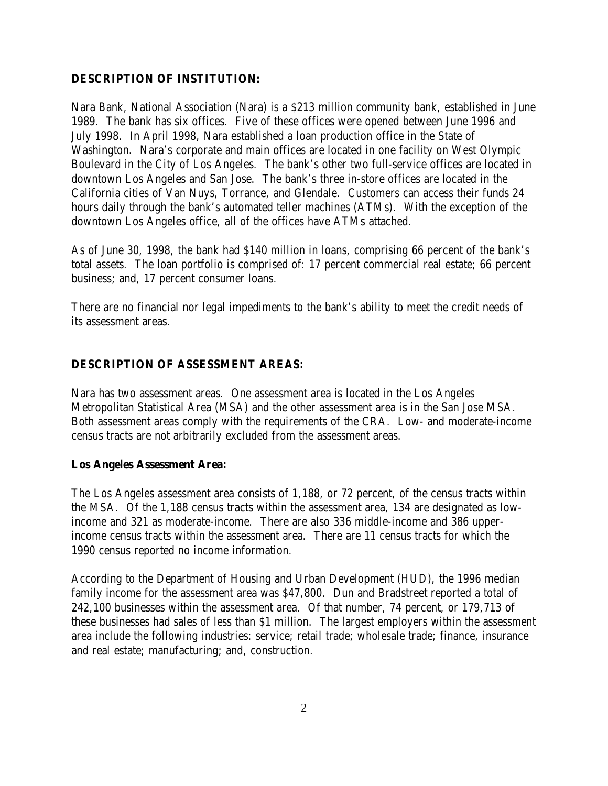#### **DESCRIPTION OF INSTITUTION:**

Nara Bank, National Association (Nara) is a \$213 million community bank, established in June 1989. The bank has six offices. Five of these offices were opened between June 1996 and July 1998. In April 1998, Nara established a loan production office in the State of Washington. Nara's corporate and main offices are located in one facility on West Olympic Boulevard in the City of Los Angeles. The bank's other two full-service offices are located in downtown Los Angeles and San Jose. The bank's three in-store offices are located in the California cities of Van Nuys, Torrance, and Glendale. Customers can access their funds 24 hours daily through the bank's automated teller machines (ATMs). With the exception of the downtown Los Angeles office, all of the offices have ATMs attached.

As of June 30, 1998, the bank had \$140 million in loans, comprising 66 percent of the bank's total assets. The loan portfolio is comprised of: 17 percent commercial real estate; 66 percent business; and, 17 percent consumer loans.

There are no financial nor legal impediments to the bank's ability to meet the credit needs of its assessment areas.

## **DESCRIPTION OF ASSESSMENT AREAS:**

Nara has two assessment areas. One assessment area is located in the Los Angeles Metropolitan Statistical Area (MSA) and the other assessment area is in the San Jose MSA. Both assessment areas comply with the requirements of the CRA. Low- and moderate-income census tracts are not arbitrarily excluded from the assessment areas.

#### **Los Angeles Assessment Area:**

The Los Angeles assessment area consists of 1,188, or 72 percent, of the census tracts within the MSA. Of the 1,188 census tracts within the assessment area, 134 are designated as lowincome and 321 as moderate-income. There are also 336 middle-income and 386 upperincome census tracts within the assessment area. There are 11 census tracts for which the 1990 census reported no income information.

According to the Department of Housing and Urban Development (HUD), the 1996 median family income for the assessment area was \$47,800. Dun and Bradstreet reported a total of 242,100 businesses within the assessment area. Of that number, 74 percent, or 179,713 of these businesses had sales of less than \$1 million. The largest employers within the assessment area include the following industries: service; retail trade; wholesale trade; finance, insurance and real estate; manufacturing; and, construction.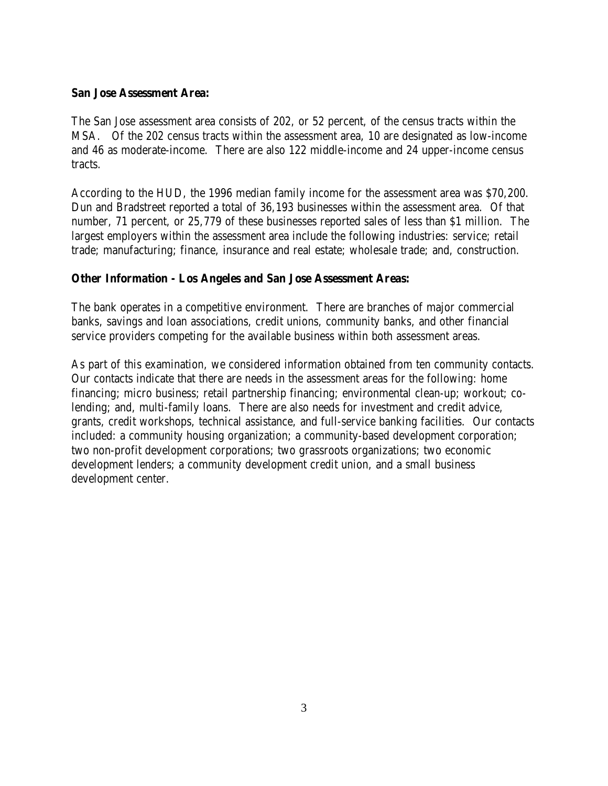#### **San Jose Assessment Area:**

The San Jose assessment area consists of 202, or 52 percent, of the census tracts within the MSA. Of the 202 census tracts within the assessment area, 10 are designated as low-income and 46 as moderate-income. There are also 122 middle-income and 24 upper-income census tracts.

According to the HUD, the 1996 median family income for the assessment area was \$70,200. Dun and Bradstreet reported a total of 36,193 businesses within the assessment area. Of that number, 71 percent, or 25,779 of these businesses reported sales of less than \$1 million. The largest employers within the assessment area include the following industries: service; retail trade; manufacturing; finance, insurance and real estate; wholesale trade; and, construction.

#### **Other Information - Los Angeles and San Jose Assessment Areas:**

The bank operates in a competitive environment. There are branches of major commercial banks, savings and loan associations, credit unions, community banks, and other financial service providers competing for the available business within both assessment areas.

As part of this examination, we considered information obtained from ten community contacts. Our contacts indicate that there are needs in the assessment areas for the following: home financing; micro business; retail partnership financing; environmental clean-up; workout; colending; and, multi-family loans. There are also needs for investment and credit advice, grants, credit workshops, technical assistance, and full-service banking facilities. Our contacts included: a community housing organization; a community-based development corporation; two non-profit development corporations; two grassroots organizations; two economic development lenders; a community development credit union, and a small business development center.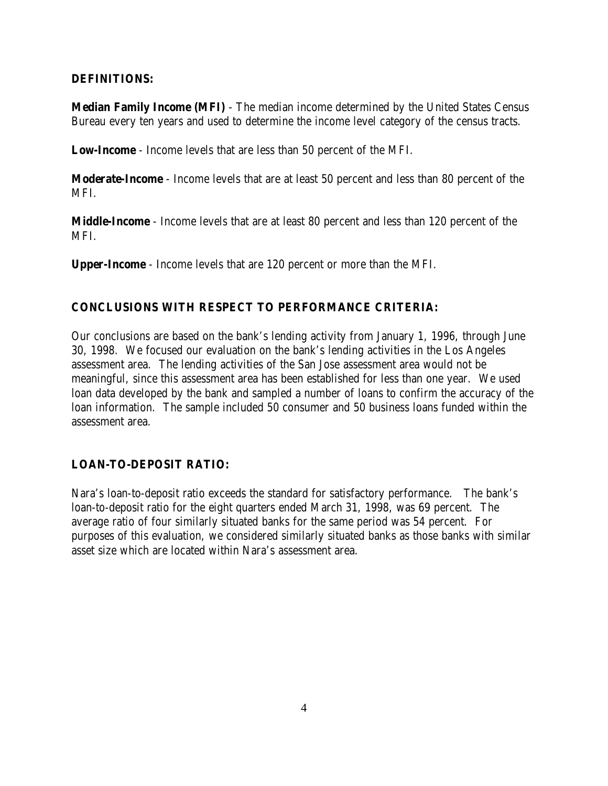## **DEFINITIONS:**

**Median Family Income (MFI)** - The median income determined by the United States Census Bureau every ten years and used to determine the income level category of the census tracts.

**Low-Income** - Income levels that are less than 50 percent of the MFI.

**Moderate-Income** - Income levels that are at least 50 percent and less than 80 percent of the MFI.

**Middle-Income** - Income levels that are at least 80 percent and less than 120 percent of the MFI.

**Upper-Income** - Income levels that are 120 percent or more than the MFI.

## **CONCLUSIONS WITH RESPECT TO PERFORMANCE CRITERIA:**

Our conclusions are based on the bank's lending activity from January 1, 1996, through June 30, 1998. We focused our evaluation on the bank's lending activities in the Los Angeles assessment area. The lending activities of the San Jose assessment area would not be meaningful, since this assessment area has been established for less than one year. We used loan data developed by the bank and sampled a number of loans to confirm the accuracy of the loan information. The sample included 50 consumer and 50 business loans funded within the assessment area.

## **LOAN-TO-DEPOSIT RATIO:**

Nara's loan-to-deposit ratio exceeds the standard for satisfactory performance. The bank's loan-to-deposit ratio for the eight quarters ended March 31, 1998, was 69 percent. The average ratio of four similarly situated banks for the same period was 54 percent. For purposes of this evaluation, we considered similarly situated banks as those banks with similar asset size which are located within Nara's assessment area.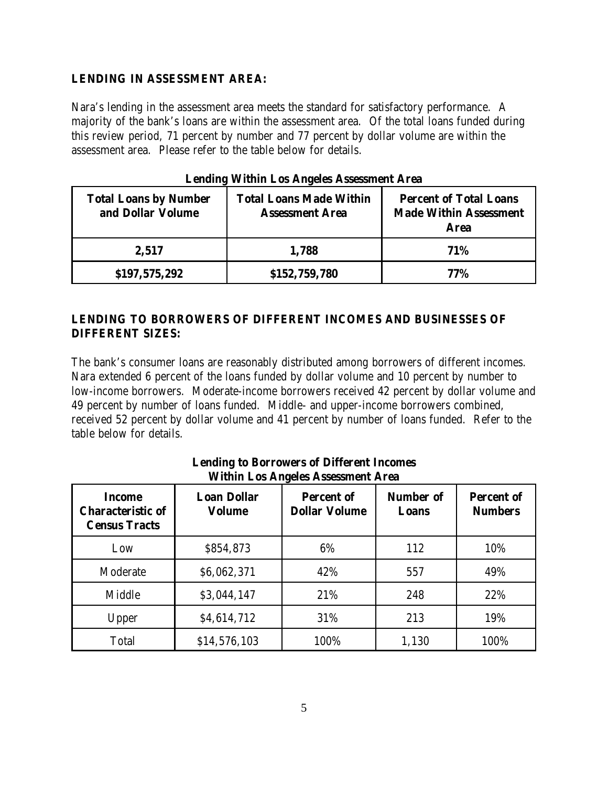#### **LENDING IN ASSESSMENT AREA:**

Nara's lending in the assessment area meets the standard for satisfactory performance. A majority of the bank's loans are within the assessment area. Of the total loans funded during this review period, 71 percent by number and 77 percent by dollar volume are within the assessment area. Please refer to the table below for details.

| <b>Total Loans by Number</b><br>and Dollar Volume | <b>Total Loans Made Within</b><br><b>Assessment Area</b> | <b>Percent of Total Loans</b><br><b>Made Within Assessment</b><br>Area |
|---------------------------------------------------|----------------------------------------------------------|------------------------------------------------------------------------|
| 2,517                                             | 1,788                                                    | <b>71%</b>                                                             |
| \$197,575,292                                     | \$152,759,780                                            | 77%                                                                    |

|  |  |  |  | <b>Lending Within Los Angeles Assessment Area</b> |  |
|--|--|--|--|---------------------------------------------------|--|
|--|--|--|--|---------------------------------------------------|--|

## **LENDING TO BORROWERS OF DIFFERENT INCOMES AND BUSINESSES OF DIFFERENT SIZES:**

The bank's consumer loans are reasonably distributed among borrowers of different incomes. Nara extended 6 percent of the loans funded by dollar volume and 10 percent by number to low-income borrowers. Moderate-income borrowers received 42 percent by dollar volume and 49 percent by number of loans funded. Middle- and upper-income borrowers combined, received 52 percent by dollar volume and 41 percent by number of loans funded. Refer to the table below for details.

| Training 200 This cross Theocoometer Three                        |                                     |                                           |                    |                                     |
|-------------------------------------------------------------------|-------------------------------------|-------------------------------------------|--------------------|-------------------------------------|
| <b>Income</b><br><b>Characteristic of</b><br><b>Census Tracts</b> | <b>Loan Dollar</b><br><b>Volume</b> | <b>Percent of</b><br><b>Dollar Volume</b> | Number of<br>Loans | <b>Percent of</b><br><b>Numbers</b> |
| Low                                                               | \$854,873                           | 6%                                        | 112                | 10%                                 |
| Moderate                                                          | \$6,062,371                         | 42%                                       | 557                | 49%                                 |
| Middle                                                            | \$3,044,147                         | 21%                                       | 248                | 22%                                 |
| Upper                                                             | \$4,614,712                         | 31%                                       | 213                | 19%                                 |
| Total                                                             | \$14,576,103                        | 100%                                      | 1,130              | 100%                                |

#### **Lending to Borrowers of Different Incomes Within Los Angeles Assessment Area**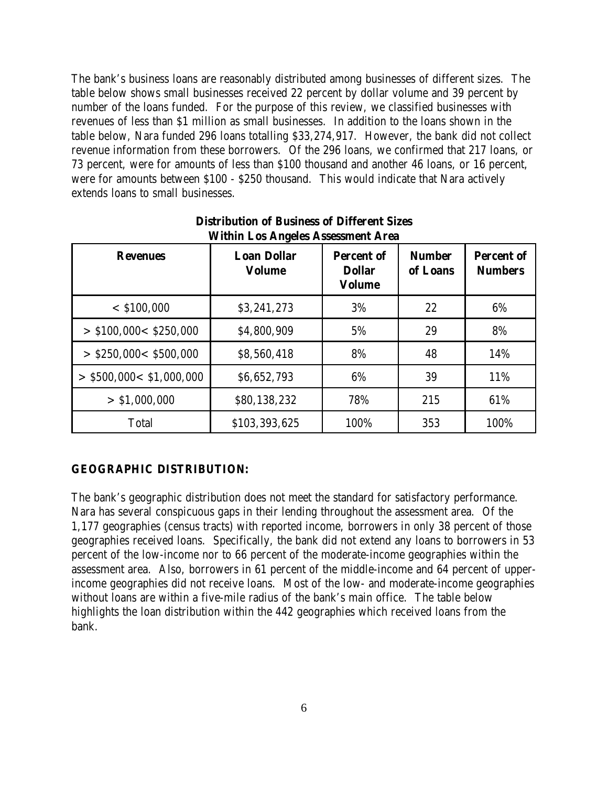The bank's business loans are reasonably distributed among businesses of different sizes. The table below shows small businesses received 22 percent by dollar volume and 39 percent by number of the loans funded. For the purpose of this review, we classified businesses with revenues of less than \$1 million as small businesses. In addition to the loans shown in the table below, Nara funded 296 loans totalling \$33,274,917. However, the bank did not collect revenue information from these borrowers. Of the 296 loans, we confirmed that 217 loans, or 73 percent, were for amounts of less than \$100 thousand and another 46 loans, or 16 percent, were for amounts between \$100 - \$250 thousand. This would indicate that Nara actively extends loans to small businesses.

| WHITH LOS THRUG TROCSHICH TH CI |                                     |                                                     |                           |                                     |  |
|---------------------------------|-------------------------------------|-----------------------------------------------------|---------------------------|-------------------------------------|--|
| <b>Revenues</b>                 | <b>Loan Dollar</b><br><b>Volume</b> | <b>Percent of</b><br><b>Dollar</b><br><b>Volume</b> | <b>Number</b><br>of Loans | <b>Percent of</b><br><b>Numbers</b> |  |
| $<$ \$100,000                   | \$3,241,273                         | 3%                                                  | 22                        | 6%                                  |  |
| $>$ \$100,000< \$250,000        | \$4,800,909                         | 5%                                                  | 29                        | 8%                                  |  |
| $>$ \$250,000< \$500,000        | \$8,560,418                         | 8%                                                  | 48                        | 14%                                 |  |
| $>$ \$500,000< \$1,000,000      | \$6,652,793                         | 6%                                                  | 39                        | 11%                                 |  |
| > \$1,000,000                   | \$80,138,232                        | 78%                                                 | 215                       | 61%                                 |  |
| Total                           | \$103,393,625                       | 100%                                                | 353                       | 100%                                |  |

#### **Distribution of Business of Different Sizes Within Los Angeles Assessment Area**

## **GEOGRAPHIC DISTRIBUTION:**

The bank's geographic distribution does not meet the standard for satisfactory performance. Nara has several conspicuous gaps in their lending throughout the assessment area. Of the 1,177 geographies (census tracts) with reported income, borrowers in only 38 percent of those geographies received loans. Specifically, the bank did not extend any loans to borrowers in 53 percent of the low-income nor to 66 percent of the moderate-income geographies within the assessment area. Also, borrowers in 61 percent of the middle-income and 64 percent of upperincome geographies did not receive loans. Most of the low- and moderate-income geographies without loans are within a five-mile radius of the bank's main office. The table below highlights the loan distribution within the 442 geographies which received loans from the bank.